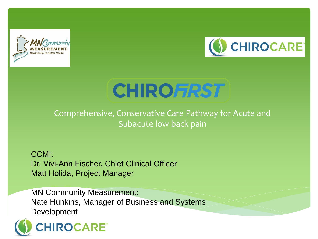



# **CHIROFRST**

Comprehensive, Conservative Care Pathway for Acute and Subacute low back pain

CCMI: Dr. Vivi-Ann Fischer, Chief Clinical Officer Matt Holida, Project Manager

MN Community Measurement: Nate Hunkins, Manager of Business and Systems Development

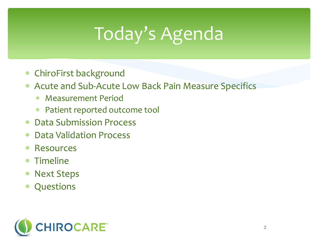# Today's Agenda

- ChiroFirst background
- Acute and Sub-Acute Low Back Pain Measure Specifics
	- Measurement Period
	- Patient reported outcome tool
- Data Submission Process
- Data Validation Process
- Resources
- Timeline
- Next Steps
- Questions

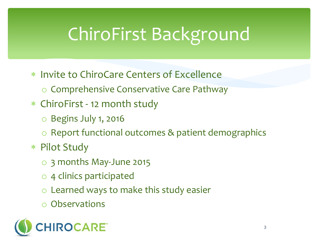# ChiroFirst Background

- \* Invite to ChiroCare Centers of Excellence
	- o Comprehensive Conservative Care Pathway
- ChiroFirst 12 month study
	- o Begins July 1, 2016
	- o Report functional outcomes & patient demographics
- Pilot Study
	- o 3 months May-June 2015
	- o 4 clinics participated
	- Learned ways to make this study easier
	- **Observations**

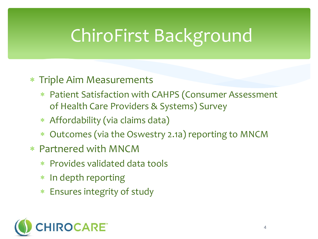## ChiroFirst Background

- Triple Aim Measurements
	- Patient Satisfaction with CAHPS (Consumer Assessment of Health Care Providers & Systems) Survey
	- Affordability (via claims data)
	- Outcomes (via the Oswestry 2.1a) reporting to MNCM
- Partnered with MNCM
	- Provides validated data tools
	- \* In depth reporting
	- Ensures integrity of study

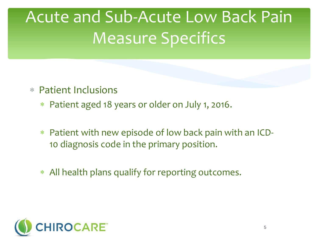## Acute and Sub-Acute Low Back Pain Measure Specifics

- Patient Inclusions
	- Patient aged 18 years or older on July 1, 2016.
	- Patient with new episode of low back pain with an ICD-10 diagnosis code in the primary position.
	- All health plans qualify for reporting outcomes.

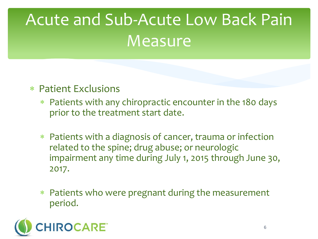## Acute and Sub-Acute Low Back Pain **Measure**

- Patient Exclusions
	- Patients with any chiropractic encounter in the 180 days prior to the treatment start date.
	- Patients with a diagnosis of cancer, trauma or infection related to the spine; drug abuse; or neurologic impairment any time during July 1, 2015 through June 30, 2017.
	- Patients who were pregnant during the measurement period.

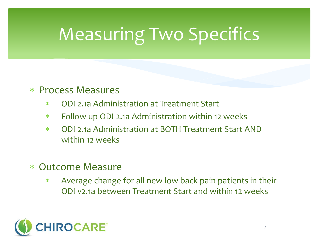# Measuring Two Specifics

#### Process Measures

- ODI 2.1a Administration at Treatment Start
- Follow up ODI 2.1a Administration within 12 weeks
- ODI 2.1a Administration at BOTH Treatment Start AND within 12 weeks
- Outcome Measure
	- Average change for all new low back pain patients in their ODI v2.1a between Treatment Start and within 12 weeks

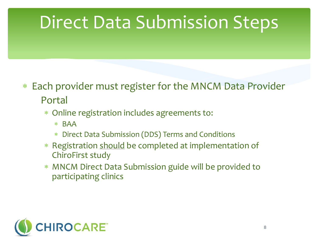### Direct Data Submission Steps

- Each provider must register for the MNCM Data Provider Portal
	- Online registration includes agreements to:
		- BAA
		- Direct Data Submission (DDS) Terms and Conditions
	- \* Registration should be completed at implementation of ChiroFirst study
	- MNCM Direct Data Submission guide will be provided to participating clinics

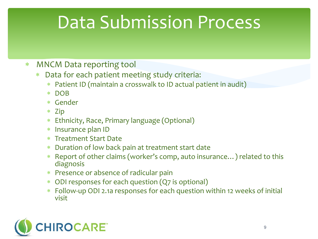### Data Submission Process

- MNCM Data reporting tool
	- Data for each patient meeting study criteria:
		- Patient ID (maintain a crosswalk to ID actual patient in audit)
		- DOB
		- Gender
		- Zip
		- Ethnicity, Race, Primary language (Optional)
		- Insurance plan ID
		- Treatment Start Date
		- Duration of low back pain at treatment start date
		- Report of other claims (worker's comp, auto insurance…) related to this diagnosis
		- Presence or absence of radicular pain
		- ODI responses for each question (Q7 is optional)
		- Follow-up ODI 2.1a responses for each question within 12 weeks of initial visit

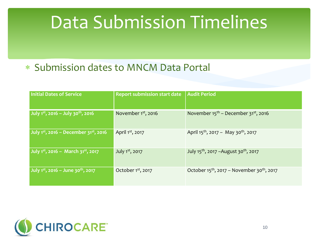#### Data Submission Timelines

#### Submission dates to MNCM Data Portal

| Initial Dates of Service                                    | <b>Report submission start date</b> | Audit Period                                                  |
|-------------------------------------------------------------|-------------------------------------|---------------------------------------------------------------|
| July $1^{st}$ , 2016 - July 30 <sup>th</sup> , 2016         | November 1 <sup>st</sup> , 2016     | November $15^{th}$ – December 31 <sup>st</sup> , 2016         |
| July $1^{st}$ , 2016 - December $31^{st}$ , 2016            | April 1st, 2017                     | April $15^{th}$ , 2017 - May 30 <sup>th</sup> , 2017          |
| July 1 <sup>st</sup> , 2016 - March 31 <sup>st</sup> , 2017 | July 1st, 2017                      | July 15 <sup>th</sup> , 2017 – August 30 <sup>th</sup> , 2017 |
| July 1st, 2016 - June 30th, 2017                            | October 1st, 2017                   | October $15^{th}$ , 2017 – November 30 <sup>th</sup> , 2017   |

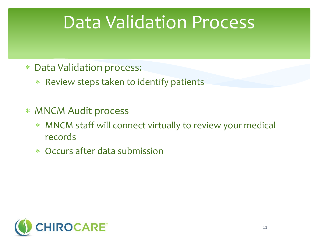#### Data Validation Process

- Data Validation process:
	- Review steps taken to identify patients
- MNCM Audit process
	- MNCM staff will connect virtually to review your medical records
	- Occurs after data submission

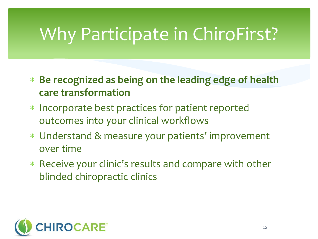### Why Participate in ChiroFirst?

- **Be recognized as being on the leading edge of health care transformation**
- Incorporate best practices for patient reported outcomes into your clinical workflows
- Understand & measure your patients' improvement over time
- Receive your clinic's results and compare with other blinded chiropractic clinics

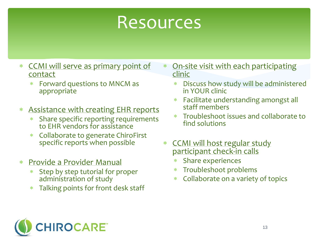#### Resources

- CCMI will serve as primary point of contact
	- Forward questions to MNCM as appropriate
- Assistance with creating EHR reports
	- Share specific reporting requirements to EHR vendors for assistance
	- Collaborate to generate ChiroFirst specific reports when possible
- Provide a Provider Manual
	- \* Step by step tutorial for proper administration of study
	- Talking points for front desk staff
- On-site visit with each participating clinic
	- Discuss how study will be administered in YOUR clinic
	- Facilitate understanding amongst all staff members
	- Troubleshoot issues and collaborate to find solutions
- \* CCMI will host regular study participant check-in calls
	- Share experiences
	- Troubleshoot problems
	- Collaborate on a variety of topics

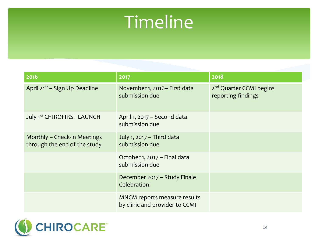### Timeline

| 2016                                                        | 2017                                                           | 2018                                                      |
|-------------------------------------------------------------|----------------------------------------------------------------|-----------------------------------------------------------|
| April 21 <sup>st</sup> – Sign Up Deadline                   | November 1, 2016 - First data<br>submission due                | 2 <sup>nd</sup> Quarter CCMI begins<br>reporting findings |
| July 1st CHIROFIRST LAUNCH                                  | April 1, 2017 - Second data<br>submission due                  |                                                           |
| Monthly - Check-in Meetings<br>through the end of the study | July 1, 2017 - Third data<br>submission due                    |                                                           |
|                                                             | October 1, 2017 - Final data<br>submission due                 |                                                           |
|                                                             | December 2017 - Study Finale<br>Celebration!                   |                                                           |
|                                                             | MNCM reports measure results<br>by clinic and provider to CCMI |                                                           |

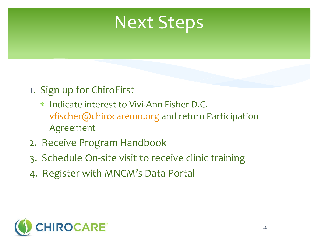#### Next Steps

- 1. Sign up for ChiroFirst
	- Indicate interest to Vivi-Ann Fisher D.C. [vfischer@chirocaremn.org](mailto:vfischer@chirocaremn.org) and return Participation Agreement
- 2. Receive Program Handbook
- 3. Schedule On-site visit to receive clinic training
- 4. Register with MNCM's Data Portal

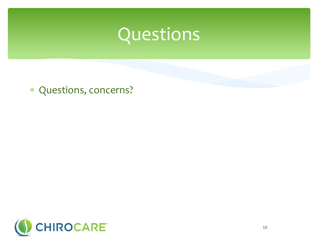

Questions, concerns?